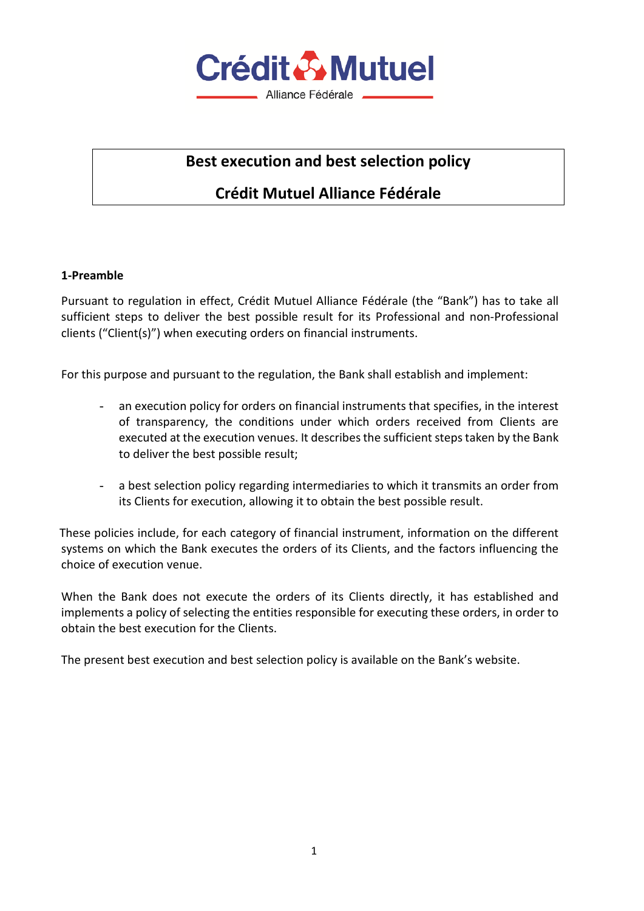

# **Best execution and best selection policy**

# **Crédit Mutuel Alliance Fédérale**

#### **1-Preamble**

Pursuant to regulation in effect, Crédit Mutuel Alliance Fédérale (the "Bank") has to take all sufficient steps to deliver the best possible result for its Professional and non-Professional clients ("Client(s)") when executing orders on financial instruments.

For this purpose and pursuant to the regulation, the Bank shall establish and implement:

- an execution policy for orders on financial instruments that specifies, in the interest of transparency, the conditions under which orders received from Clients are executed at the execution venues. It describes the sufficient steps taken by the Bank to deliver the best possible result;
- a best selection policy regarding intermediaries to which it transmits an order from its Clients for execution, allowing it to obtain the best possible result.

 These policies include, for each category of financial instrument, information on the different systems on which the Bank executes the orders of its Clients, and the factors influencing the choice of execution venue.

When the Bank does not execute the orders of its Clients directly, it has established and implements a policy of selecting the entities responsible for executing these orders, in order to obtain the best execution for the Clients.

The present best execution and best selection policy is available on the Bank's website.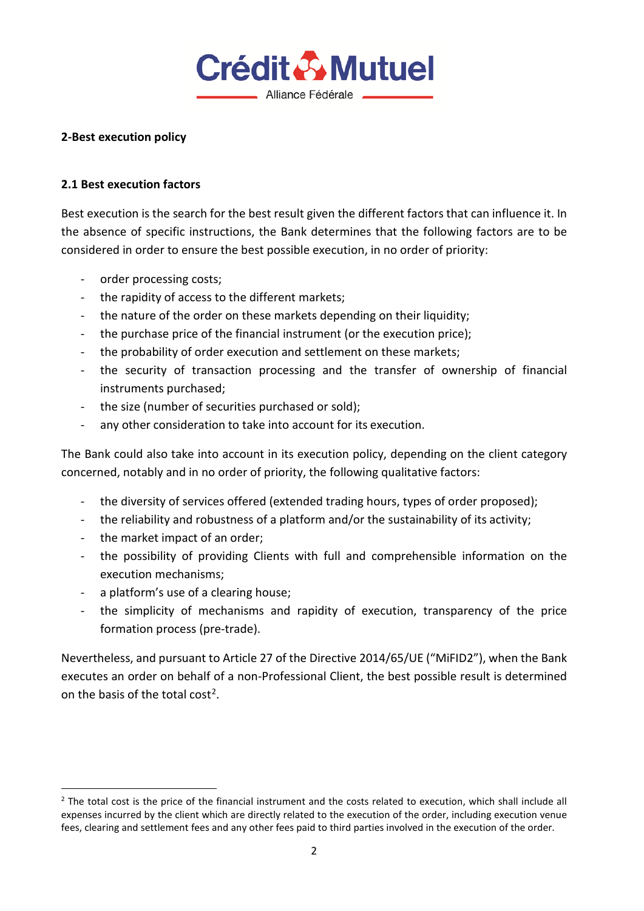

### **2-Best execution policy**

#### **2.1 Best execution factors**

Best execution is the search for the best result given the different factors that can influence it. In the absence of specific instructions, the Bank determines that the following factors are to be considered in order to ensure the best possible execution, in no order of priority:

- order processing costs;
- the rapidity of access to the different markets;
- the nature of the order on these markets depending on their liquidity;
- the purchase price of the financial instrument (or the execution price);
- the probability of order execution and settlement on these markets;
- the security of transaction processing and the transfer of ownership of financial instruments purchased;
- the size (number of securities purchased or sold);
- any other consideration to take into account for its execution.

The Bank could also take into account in its execution policy, depending on the client category concerned, notably and in no order of priority, the following qualitative factors:

- the diversity of services offered (extended trading hours, types of order proposed);
- the reliability and robustness of a platform and/or the sustainability of its activity;
- the market impact of an order;
- the possibility of providing Clients with full and comprehensible information on the execution mechanisms;
- a platform's use of a clearing house;
- the simplicity of mechanisms and rapidity of execution, transparency of the price formation process (pre-trade).

Nevertheless, and pursuant to Article 27 of the Directive 2014/65/UE ("MiFID2"), when the Bank executes an order on behalf of a non-Professional Client, the best possible result is determined on the basis of the total cost[2.](#page-1-0)

<span id="page-1-0"></span> $2$  The total cost is the price of the financial instrument and the costs related to execution, which shall include all expenses incurred by the client which are directly related to the execution of the order, including execution venue fees, clearing and settlement fees and any other fees paid to third parties involved in the execution of the order.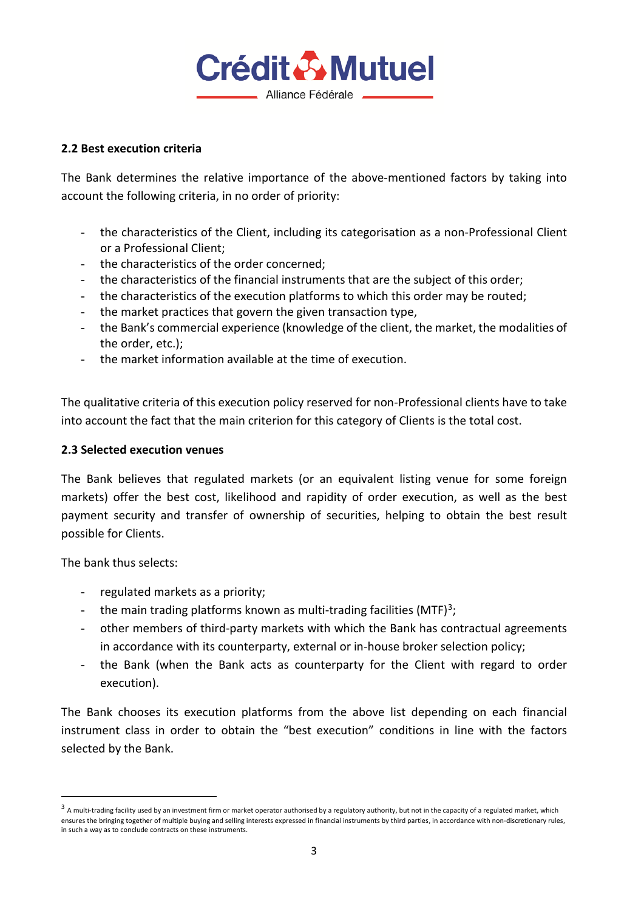

#### **2.2 Best execution criteria**

The Bank determines the relative importance of the above-mentioned factors by taking into account the following criteria, in no order of priority:

- the characteristics of the Client, including its categorisation as a non-Professional Client or a Professional Client;
- the characteristics of the order concerned;
- the characteristics of the financial instruments that are the subject of this order;
- the characteristics of the execution platforms to which this order may be routed;
- the market practices that govern the given transaction type,
- the Bank's commercial experience (knowledge of the client, the market, the modalities of the order, etc.);
- the market information available at the time of execution.

The qualitative criteria of this execution policy reserved for non-Professional clients have to take into account the fact that the main criterion for this category of Clients is the total cost.

#### **2.3 Selected execution venues**

The Bank believes that regulated markets (or an equivalent listing venue for some foreign markets) offer the best cost, likelihood and rapidity of order execution, as well as the best payment security and transfer of ownership of securities, helping to obtain the best result possible for Clients.

The bank thus selects:

- regulated markets as a priority;
- the main trading platforms known as multi-trading facilities (MTF)<sup>[3](#page-2-0)</sup>;
- other members of third-party markets with which the Bank has contractual agreements in accordance with its counterparty, external or in-house broker selection policy;
- the Bank (when the Bank acts as counterparty for the Client with regard to order execution).

The Bank chooses its execution platforms from the above list depending on each financial instrument class in order to obtain the "best execution" conditions in line with the factors selected by the Bank.

<span id="page-2-0"></span><sup>&</sup>lt;sup>3</sup> A multi-trading facility used by an investment firm or market operator authorised by a regulatory authority, but not in the capacity of a regulated market, which ensures the bringing together of multiple buying and selling interests expressed in financial instruments by third parties, in accordance with non-discretionary rules, in such a way as to conclude contracts on these instruments.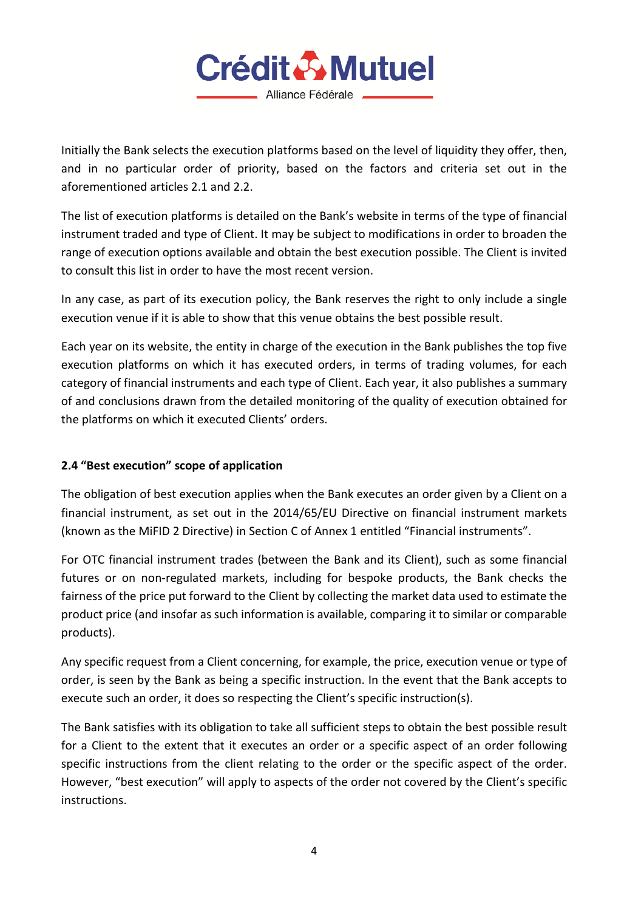

Initially the Bank selects the execution platforms based on the level of liquidity they offer, then, and in no particular order of priority, based on the factors and criteria set out in the aforementioned articles 2.1 and 2.2.

The list of execution platforms is detailed on the Bank's website in terms of the type of financial instrument traded and type of Client. It may be subject to modifications in order to broaden the range of execution options available and obtain the best execution possible. The Client is invited to consult this list in order to have the most recent version.

In any case, as part of its execution policy, the Bank reserves the right to only include a single execution venue if it is able to show that this venue obtains the best possible result.

Each year on its website, the entity in charge of the execution in the Bank publishes the top five execution platforms on which it has executed orders, in terms of trading volumes, for each category of financial instruments and each type of Client. Each year, it also publishes a summary of and conclusions drawn from the detailed monitoring of the quality of execution obtained for the platforms on which it executed Clients' orders.

# **2.4 "Best execution" scope of application**

The obligation of best execution applies when the Bank executes an order given by a Client on a financial instrument, as set out in the 2014/65/EU Directive on financial instrument markets (known as the MiFID 2 Directive) in Section C of Annex 1 entitled "Financial instruments".

For OTC financial instrument trades (between the Bank and its Client), such as some financial futures or on non-regulated markets, including for bespoke products, the Bank checks the fairness of the price put forward to the Client by collecting the market data used to estimate the product price (and insofar as such information is available, comparing it to similar or comparable products).

Any specific request from a Client concerning, for example, the price, execution venue or type of order, is seen by the Bank as being a specific instruction. In the event that the Bank accepts to execute such an order, it does so respecting the Client's specific instruction(s).

The Bank satisfies with its obligation to take all sufficient steps to obtain the best possible result for a Client to the extent that it executes an order or a specific aspect of an order following specific instructions from the client relating to the order or the specific aspect of the order. However, "best execution" will apply to aspects of the order not covered by the Client's specific instructions.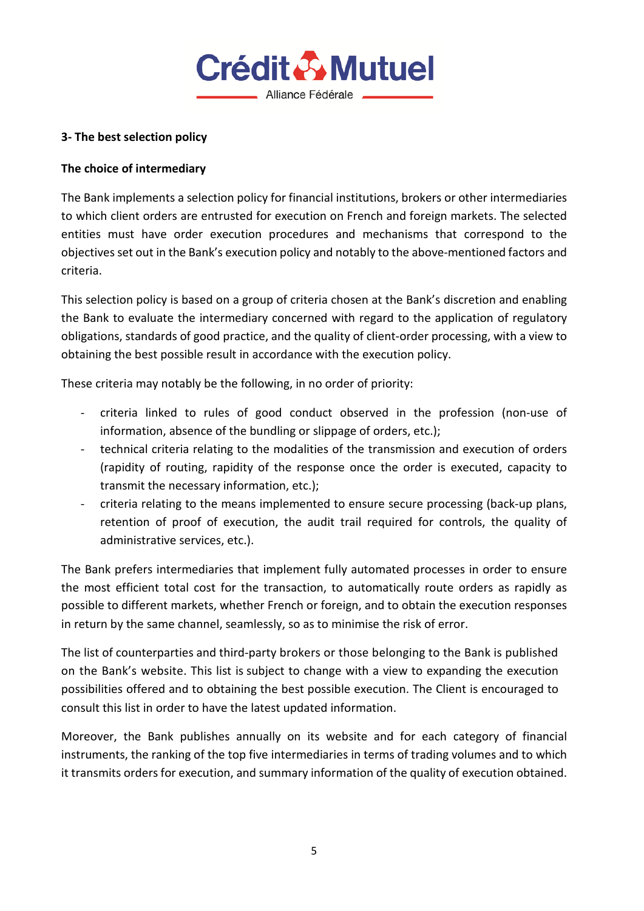

# **3- The best selection policy**

# **The choice of intermediary**

The Bank implements a selection policy for financial institutions, brokers or other intermediaries to which client orders are entrusted for execution on French and foreign markets. The selected entities must have order execution procedures and mechanisms that correspond to the objectives set out in the Bank's execution policy and notably to the above-mentioned factors and criteria.

This selection policy is based on a group of criteria chosen at the Bank's discretion and enabling the Bank to evaluate the intermediary concerned with regard to the application of regulatory obligations, standards of good practice, and the quality of client-order processing, with a view to obtaining the best possible result in accordance with the execution policy.

These criteria may notably be the following, in no order of priority:

- criteria linked to rules of good conduct observed in the profession (non-use of information, absence of the bundling or slippage of orders, etc.);
- technical criteria relating to the modalities of the transmission and execution of orders (rapidity of routing, rapidity of the response once the order is executed, capacity to transmit the necessary information, etc.);
- criteria relating to the means implemented to ensure secure processing (back-up plans, retention of proof of execution, the audit trail required for controls, the quality of administrative services, etc.).

The Bank prefers intermediaries that implement fully automated processes in order to ensure the most efficient total cost for the transaction, to automatically route orders as rapidly as possible to different markets, whether French or foreign, and to obtain the execution responses in return by the same channel, seamlessly, so as to minimise the risk of error.

The list of counterparties and third-party brokers or those belonging to the Bank is published on the Bank's website. This list is subject to change with a view to expanding the execution possibilities offered and to obtaining the best possible execution. The Client is encouraged to consult this list in order to have the latest updated information.

Moreover, the Bank publishes annually on its website and for each category of financial instruments, the ranking of the top five intermediaries in terms of trading volumes and to which it transmits orders for execution, and summary information of the quality of execution obtained.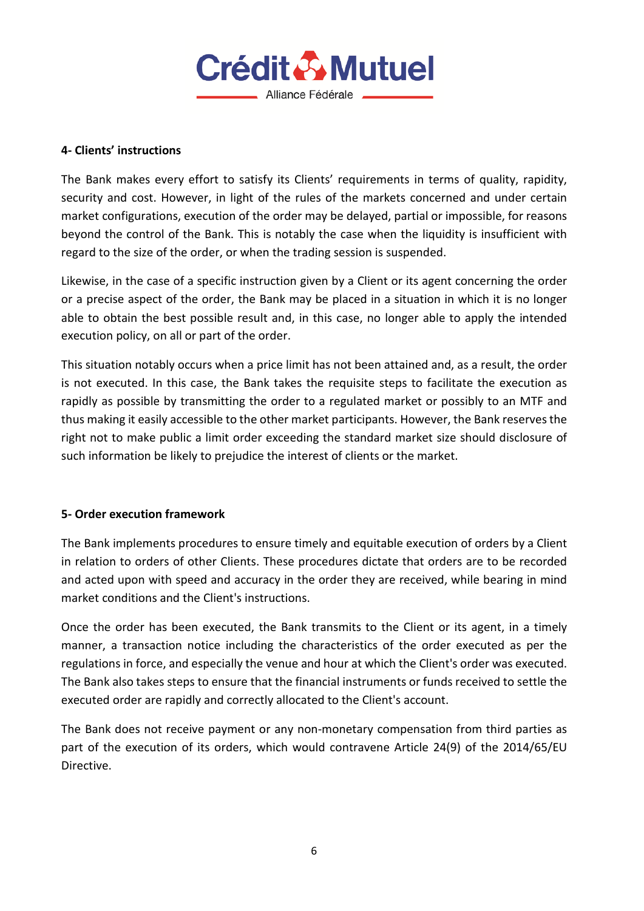

### **4- Clients' instructions**

The Bank makes every effort to satisfy its Clients' requirements in terms of quality, rapidity, security and cost. However, in light of the rules of the markets concerned and under certain market configurations, execution of the order may be delayed, partial or impossible, for reasons beyond the control of the Bank. This is notably the case when the liquidity is insufficient with regard to the size of the order, or when the trading session is suspended.

Likewise, in the case of a specific instruction given by a Client or its agent concerning the order or a precise aspect of the order, the Bank may be placed in a situation in which it is no longer able to obtain the best possible result and, in this case, no longer able to apply the intended execution policy, on all or part of the order.

This situation notably occurs when a price limit has not been attained and, as a result, the order is not executed. In this case, the Bank takes the requisite steps to facilitate the execution as rapidly as possible by transmitting the order to a regulated market or possibly to an MTF and thus making it easily accessible to the other market participants. However, the Bank reserves the right not to make public a limit order exceeding the standard market size should disclosure of such information be likely to prejudice the interest of clients or the market.

## **5- Order execution framework**

The Bank implements procedures to ensure timely and equitable execution of orders by a Client in relation to orders of other Clients. These procedures dictate that orders are to be recorded and acted upon with speed and accuracy in the order they are received, while bearing in mind market conditions and the Client's instructions.

Once the order has been executed, the Bank transmits to the Client or its agent, in a timely manner, a transaction notice including the characteristics of the order executed as per the regulations in force, and especially the venue and hour at which the Client's order was executed. The Bank also takes steps to ensure that the financial instruments or funds received to settle the executed order are rapidly and correctly allocated to the Client's account.

The Bank does not receive payment or any non-monetary compensation from third parties as part of the execution of its orders, which would contravene Article 24(9) of the 2014/65/EU Directive.